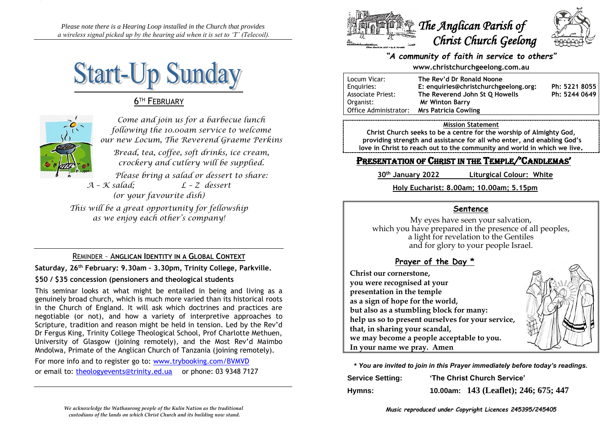*Please note there is a Hearing Loop installed in the Church that provides a wireless signal picked up by the hearing aid when it is set to 'T' (Telecoil).*



# **6TH FEBRUARY**



*Come and join us for a barbecue lunch following the 10.00am service to welcome our new Locum, The Reverend Graeme Perkins Bread, tea, coffee, soft drinks, ice cream, crockery and cutlery will be supplied. Please bring a salad or dessert to share: A – K salad; L – Z dessert*

*(or your favourite dish)*

*This will be a great opportunity for fellowship as we enjoy each other's company!*

### REMINDER – A**NGLICAN IDENTITY IN A GLOBAL CONTEXT**

**Saturday, 26th February: 9.30am – 3.30pm, Trinity College, Parkville.**

### **\$50 / \$35 concession (pensioners and theological students**

This seminar looks at what might be entailed in being and living as a genuinely broad church, which is much more varied than its historical roots in the Church of England. It will ask which doctrines and practices are negotiable (or not), and how a variety of interpretive approaches to Scripture, tradition and reason might be held in tension. Led by the Rev'd Dr Fergus King, Trinity College Theological School, Prof Charlotte Methuen, University of Glasgow (joining remotely), and the Most Rev'd Maimbo Mndolwa, Primate of the Anglican Church of Tanzania (joining remotely).

For more info and to register go to: [www.trybooking.com/BVMVD](http://www.trybooking.com/BVMVD) or email to: [theologyevents@trinity.ed.ua](mailto:theologyevents@trinity.ed.ua) or phone: 03 9348 7127





### *"A community of faith in service to others"*

### **www.christchurchgeelong.com.au**

| Locum Vicar:             | The Rev'd Dr Ronald Noone             |               |
|--------------------------|---------------------------------------|---------------|
| Enguiries:               | E: enquiries@christchurchgeelong.org: | Ph: 5221 8055 |
| <b>Associate Priest:</b> | The Reverend John St O Howells        | Ph: 5244 0649 |
| Organist:                | <b>Mr Winton Barry</b>                |               |
| Office Administrator:    | <b>Mrs Patricia Cowling</b>           |               |

#### **Mission Statement**

**Christ Church seeks to be a centre for the worship of Almighty God, providing strength and assistance for all who enter, and enabling God's love in Christ to reach out to the community and world in which we live.**

# PRESENTATION OF CHRIST IN THE TEMPLE/'CANDLEMAS'

**30th January 2022 Liturgical Colour: White**

### **Holy Eucharist: 8.00am; 10.00am; 5.15pm**

### **Sentence**

My eyes have seen your salvation, which you have prepared in the presence of all peoples, a light for revelation to the Gentiles and for glory to your people Israel.

# **Prayer of the Day \***

**Christ our cornerstone, you were recognised at your presentation in the temple as a sign of hope for the world, but also as a stumbling block for many: help us so to present ourselves for your service, that, in sharing your scandal, we may become a people acceptable to you. In your name we pray. Amen**



**\*** *You are invited to join in this Prayer immediately before today's readings.*

| <b>Service Setting:</b> | 'The Christ Church Service' |                                       |
|-------------------------|-----------------------------|---------------------------------------|
| Hymns:                  |                             | 10.00am: 143 (Leaflet); 246; 675; 447 |